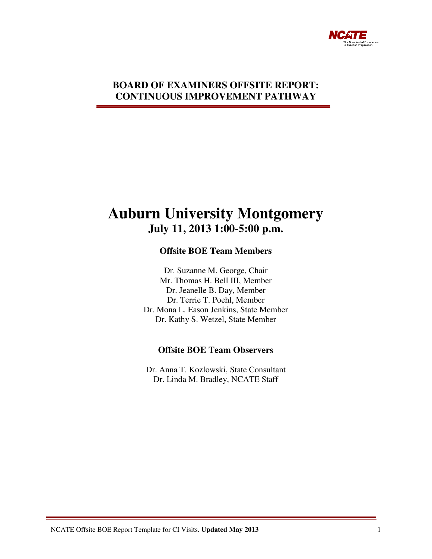

## **BOARD OF EXAMINERS OFFSITE REPORT: CONTINUOUS IMPROVEMENT PATHWAY**

# **Auburn University Montgomery July 11, 2013 1:00-5:00 p.m.**

## **Offsite BOE Team Members**

Dr. Suzanne M. George, Chair Mr. Thomas H. Bell III, Member Dr. Jeanelle B. Day, Member Dr. Terrie T. Poehl, Member Dr. Mona L. Eason Jenkins, State Member Dr. Kathy S. Wetzel, State Member

## **Offsite BOE Team Observers**

Dr. Anna T. Kozlowski, State Consultant Dr. Linda M. Bradley, NCATE Staff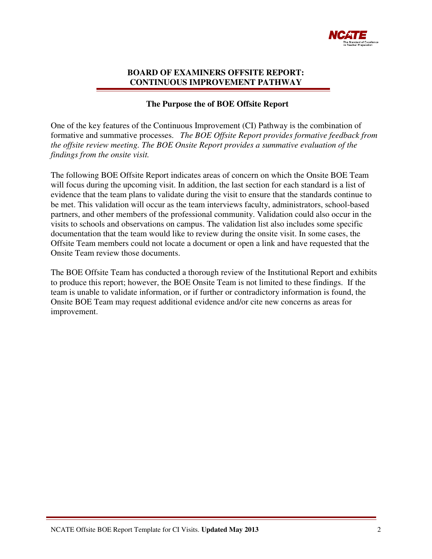

#### **BOARD OF EXAMINERS OFFSITE REPORT: CONTINUOUS IMPROVEMENT PATHWAY**

#### **The Purpose the of BOE Offsite Report**

One of the key features of the Continuous Improvement (CI) Pathway is the combination of formative and summative processes. *The BOE Offsite Report provides formative feedback from the offsite review meeting. The BOE Onsite Report provides a summative evaluation of the findings from the onsite visit.* 

The following BOE Offsite Report indicates areas of concern on which the Onsite BOE Team will focus during the upcoming visit. In addition, the last section for each standard is a list of evidence that the team plans to validate during the visit to ensure that the standards continue to be met. This validation will occur as the team interviews faculty, administrators, school-based partners, and other members of the professional community. Validation could also occur in the visits to schools and observations on campus. The validation list also includes some specific documentation that the team would like to review during the onsite visit. In some cases, the Offsite Team members could not locate a document or open a link and have requested that the Onsite Team review those documents.

The BOE Offsite Team has conducted a thorough review of the Institutional Report and exhibits to produce this report; however, the BOE Onsite Team is not limited to these findings. If the team is unable to validate information, or if further or contradictory information is found, the Onsite BOE Team may request additional evidence and/or cite new concerns as areas for improvement.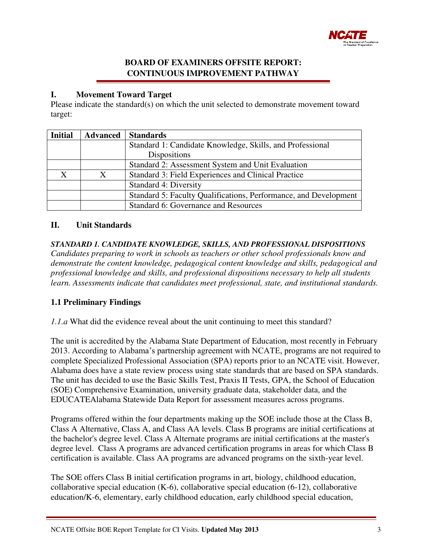

## **BOARD OF EXAMINERS OFFSITE REPORT: CONTINUOUS IMPROVEMENT PATHWAY**

## **I. Movement Toward Target**

Please indicate the standard(s) on which the unit selected to demonstrate movement toward target:

| <b>Initial</b> | <b>Advanced</b> | <b>Standards</b>                                                 |  |  |  |
|----------------|-----------------|------------------------------------------------------------------|--|--|--|
|                |                 | Standard 1: Candidate Knowledge, Skills, and Professional        |  |  |  |
|                |                 | <b>Dispositions</b>                                              |  |  |  |
|                |                 | Standard 2: Assessment System and Unit Evaluation                |  |  |  |
|                |                 | Standard 3: Field Experiences and Clinical Practice              |  |  |  |
|                |                 | Standard 4: Diversity                                            |  |  |  |
|                |                 | Standard 5: Faculty Qualifications, Performance, and Development |  |  |  |
|                |                 | Standard 6: Governance and Resources                             |  |  |  |

## **II. Unit Standards**

*STANDARD 1. CANDIDATE KNOWLEDGE, SKILLS, AND PROFESSIONAL DISPOSITIONS Candidates preparing to work in schools as teachers or other school professionals know and demonstrate the content knowledge, pedagogical content knowledge and skills, pedagogical and professional knowledge and skills, and professional dispositions necessary to help all students learn. Assessments indicate that candidates meet professional, state, and institutional standards.* 

## **1.1 Preliminary Findings**

*1.1.a* What did the evidence reveal about the unit continuing to meet this standard?

The unit is accredited by the Alabama State Department of Education, most recently in February 2013. According to Alabama's partnership agreement with NCATE, programs are not required to complete Specialized Professional Association (SPA) reports prior to an NCATE visit. However, Alabama does have a state review process using state standards that are based on SPA standards. The unit has decided to use the Basic Skills Test, Praxis II Tests, GPA, the School of Education (SOE) Comprehensive Examination, university graduate data, stakeholder data, and the EDUCATEAlabama Statewide Data Report for assessment measures across programs.

Programs offered within the four departments making up the SOE include those at the Class B, Class A Alternative, Class A, and Class AA levels. Class B programs are initial certifications at the bachelor's degree level. Class A Alternate programs are initial certifications at the master's degree level. Class A programs are advanced certification programs in areas for which Class B certification is available. Class AA programs are advanced programs on the sixth-year level.

The SOE offers Class B initial certification programs in art, biology, childhood education, collaborative special education  $(K-6)$ , collaborative special education  $(6-12)$ , collaborative education/K-6, elementary, early childhood education, early childhood special education,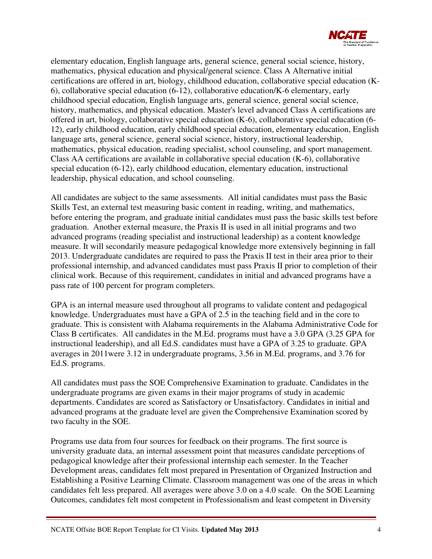

elementary education, English language arts, general science, general social science, history, mathematics, physical education and physical/general science. Class A Alternative initial certifications are offered in art, biology, childhood education, collaborative special education (K-6), collaborative special education (6-12), collaborative education/K-6 elementary, early childhood special education, English language arts, general science, general social science, history, mathematics, and physical education. Master's level advanced Class A certifications are offered in art, biology, collaborative special education (K-6), collaborative special education (6- 12), early childhood education, early childhood special education, elementary education, English language arts, general science, general social science, history, instructional leadership, mathematics, physical education, reading specialist, school counseling, and sport management. Class AA certifications are available in collaborative special education (K-6), collaborative special education (6-12), early childhood education, elementary education, instructional leadership, physical education, and school counseling.

All candidates are subject to the same assessments. All initial candidates must pass the Basic Skills Test, an external test measuring basic content in reading, writing, and mathematics, before entering the program, and graduate initial candidates must pass the basic skills test before graduation. Another external measure, the Praxis II is used in all initial programs and two advanced programs (reading specialist and instructional leadership) as a content knowledge measure. It will secondarily measure pedagogical knowledge more extensively beginning in fall 2013. Undergraduate candidates are required to pass the Praxis II test in their area prior to their professional internship, and advanced candidates must pass Praxis II prior to completion of their clinical work. Because of this requirement, candidates in initial and advanced programs have a pass rate of 100 percent for program completers.

GPA is an internal measure used throughout all programs to validate content and pedagogical knowledge. Undergraduates must have a GPA of 2.5 in the teaching field and in the core to graduate. This is consistent with Alabama requirements in the Alabama Administrative Code for Class B certificates. All candidates in the M.Ed. programs must have a 3.0 GPA (3.25 GPA for instructional leadership), and all Ed.S. candidates must have a GPA of 3.25 to graduate. GPA averages in 2011were 3.12 in undergraduate programs, 3.56 in M.Ed. programs, and 3.76 for Ed.S. programs.

All candidates must pass the SOE Comprehensive Examination to graduate. Candidates in the undergraduate programs are given exams in their major programs of study in academic departments. Candidates are scored as Satisfactory or Unsatisfactory. Candidates in initial and advanced programs at the graduate level are given the Comprehensive Examination scored by two faculty in the SOE.

Programs use data from four sources for feedback on their programs. The first source is university graduate data, an internal assessment point that measures candidate perceptions of pedagogical knowledge after their professional internship each semester. In the Teacher Development areas, candidates felt most prepared in Presentation of Organized Instruction and Establishing a Positive Learning Climate. Classroom management was one of the areas in which candidates felt less prepared. All averages were above 3.0 on a 4.0 scale. On the SOE Learning Outcomes, candidates felt most competent in Professionalism and least competent in Diversity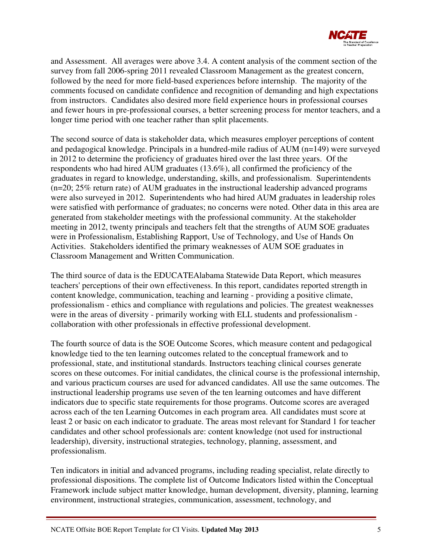

and Assessment. All averages were above 3.4. A content analysis of the comment section of the survey from fall 2006-spring 2011 revealed Classroom Management as the greatest concern, followed by the need for more field-based experiences before internship. The majority of the comments focused on candidate confidence and recognition of demanding and high expectations from instructors. Candidates also desired more field experience hours in professional courses and fewer hours in pre-professional courses, a better screening process for mentor teachers, and a longer time period with one teacher rather than split placements.

The second source of data is stakeholder data, which measures employer perceptions of content and pedagogical knowledge. Principals in a hundred-mile radius of AUM (n=149) were surveyed in 2012 to determine the proficiency of graduates hired over the last three years. Of the respondents who had hired AUM graduates (13.6%), all confirmed the proficiency of the graduates in regard to knowledge, understanding, skills, and professionalism. Superintendents (n=20; 25% return rate) of AUM graduates in the instructional leadership advanced programs were also surveyed in 2012. Superintendents who had hired AUM graduates in leadership roles were satisfied with performance of graduates; no concerns were noted. Other data in this area are generated from stakeholder meetings with the professional community. At the stakeholder meeting in 2012, twenty principals and teachers felt that the strengths of AUM SOE graduates were in Professionalism, Establishing Rapport, Use of Technology, and Use of Hands On Activities. Stakeholders identified the primary weaknesses of AUM SOE graduates in Classroom Management and Written Communication.

The third source of data is the EDUCATEAlabama Statewide Data Report, which measures teachers' perceptions of their own effectiveness. In this report, candidates reported strength in content knowledge, communication, teaching and learning - providing a positive climate, professionalism - ethics and compliance with regulations and policies. The greatest weaknesses were in the areas of diversity - primarily working with ELL students and professionalism collaboration with other professionals in effective professional development.

The fourth source of data is the SOE Outcome Scores, which measure content and pedagogical knowledge tied to the ten learning outcomes related to the conceptual framework and to professional, state, and institutional standards. Instructors teaching clinical courses generate scores on these outcomes. For initial candidates, the clinical course is the professional internship, and various practicum courses are used for advanced candidates. All use the same outcomes. The instructional leadership programs use seven of the ten learning outcomes and have different indicators due to specific state requirements for those programs. Outcome scores are averaged across each of the ten Learning Outcomes in each program area. All candidates must score at least 2 or basic on each indicator to graduate. The areas most relevant for Standard 1 for teacher candidates and other school professionals are: content knowledge (not used for instructional leadership), diversity, instructional strategies, technology, planning, assessment, and professionalism.

Ten indicators in initial and advanced programs, including reading specialist, relate directly to professional dispositions. The complete list of Outcome Indicators listed within the Conceptual Framework include subject matter knowledge, human development, diversity, planning, learning environment, instructional strategies, communication, assessment, technology, and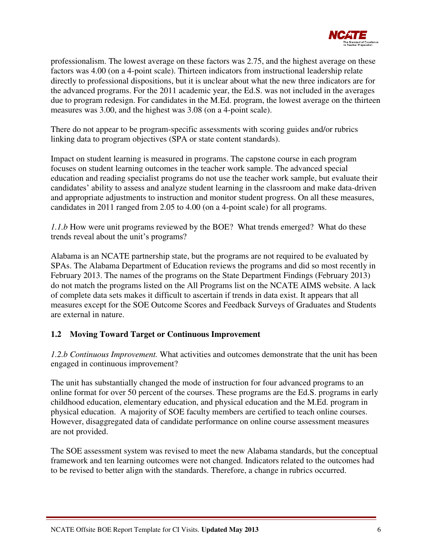

professionalism. The lowest average on these factors was 2.75, and the highest average on these factors was 4.00 (on a 4-point scale). Thirteen indicators from instructional leadership relate directly to professional dispositions, but it is unclear about what the new three indicators are for the advanced programs. For the 2011 academic year, the Ed.S. was not included in the averages due to program redesign. For candidates in the M.Ed. program, the lowest average on the thirteen measures was 3.00, and the highest was 3.08 (on a 4-point scale).

There do not appear to be program-specific assessments with scoring guides and/or rubrics linking data to program objectives (SPA or state content standards).

Impact on student learning is measured in programs. The capstone course in each program focuses on student learning outcomes in the teacher work sample. The advanced special education and reading specialist programs do not use the teacher work sample, but evaluate their candidates' ability to assess and analyze student learning in the classroom and make data-driven and appropriate adjustments to instruction and monitor student progress. On all these measures, candidates in 2011 ranged from 2.05 to 4.00 (on a 4-point scale) for all programs.

*1.1.b* How were unit programs reviewed by the BOE? What trends emerged? What do these trends reveal about the unit's programs?

Alabama is an NCATE partnership state, but the programs are not required to be evaluated by SPAs. The Alabama Department of Education reviews the programs and did so most recently in February 2013. The names of the programs on the State Department Findings (February 2013) do not match the programs listed on the All Programs list on the NCATE AIMS website. A lack of complete data sets makes it difficult to ascertain if trends in data exist. It appears that all measures except for the SOE Outcome Scores and Feedback Surveys of Graduates and Students are external in nature.

## **1.2 Moving Toward Target or Continuous Improvement**

*1.2.b Continuous Improvement.* What activities and outcomes demonstrate that the unit has been engaged in continuous improvement?

The unit has substantially changed the mode of instruction for four advanced programs to an online format for over 50 percent of the courses. These programs are the Ed.S. programs in early childhood education, elementary education, and physical education and the M.Ed. program in physical education. A majority of SOE faculty members are certified to teach online courses. However, disaggregated data of candidate performance on online course assessment measures are not provided.

The SOE assessment system was revised to meet the new Alabama standards, but the conceptual framework and ten learning outcomes were not changed. Indicators related to the outcomes had to be revised to better align with the standards. Therefore, a change in rubrics occurred.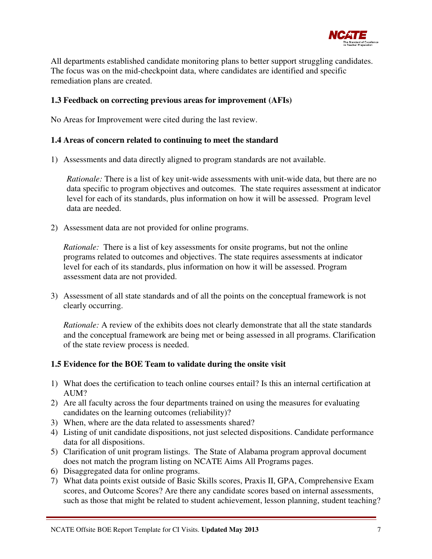

All departments established candidate monitoring plans to better support struggling candidates. The focus was on the mid-checkpoint data, where candidates are identified and specific remediation plans are created.

#### **1.3 Feedback on correcting previous areas for improvement (AFIs)**

No Areas for Improvement were cited during the last review.

#### **1.4 Areas of concern related to continuing to meet the standard**

1) Assessments and data directly aligned to program standards are not available.

*Rationale:* There is a list of key unit-wide assessments with unit-wide data, but there are no data specific to program objectives and outcomes. The state requires assessment at indicator level for each of its standards, plus information on how it will be assessed. Program level data are needed.

2) Assessment data are not provided for online programs.

*Rationale:* There is a list of key assessments for onsite programs, but not the online programs related to outcomes and objectives. The state requires assessments at indicator level for each of its standards, plus information on how it will be assessed. Program assessment data are not provided.

3) Assessment of all state standards and of all the points on the conceptual framework is not clearly occurring.

*Rationale:* A review of the exhibits does not clearly demonstrate that all the state standards and the conceptual framework are being met or being assessed in all programs. Clarification of the state review process is needed.

#### **1.5 Evidence for the BOE Team to validate during the onsite visit**

- 1) What does the certification to teach online courses entail? Is this an internal certification at AUM?
- 2) Are all faculty across the four departments trained on using the measures for evaluating candidates on the learning outcomes (reliability)?
- 3) When, where are the data related to assessments shared?
- 4) Listing of unit candidate dispositions, not just selected dispositions. Candidate performance data for all dispositions.
- 5) Clarification of unit program listings. The State of Alabama program approval document does not match the program listing on NCATE Aims All Programs pages.
- 6) Disaggregated data for online programs.
- 7) What data points exist outside of Basic Skills scores, Praxis II, GPA, Comprehensive Exam scores, and Outcome Scores? Are there any candidate scores based on internal assessments, such as those that might be related to student achievement, lesson planning, student teaching?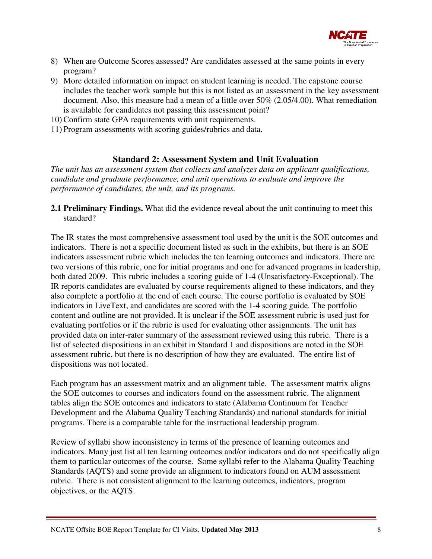

- 8) When are Outcome Scores assessed? Are candidates assessed at the same points in every program?
- 9) More detailed information on impact on student learning is needed. The capstone course includes the teacher work sample but this is not listed as an assessment in the key assessment document. Also, this measure had a mean of a little over 50% (2.05/4.00). What remediation is available for candidates not passing this assessment point?
- 10) Confirm state GPA requirements with unit requirements.
- 11) Program assessments with scoring guides/rubrics and data.

## **Standard 2: Assessment System and Unit Evaluation**

*The unit has an assessment system that collects and analyzes data on applicant qualifications, candidate and graduate performance, and unit operations to evaluate and improve the performance of candidates, the unit, and its programs.* 

**2.1 Preliminary Findings.** What did the evidence reveal about the unit continuing to meet this standard?

The IR states the most comprehensive assessment tool used by the unit is the SOE outcomes and indicators. There is not a specific document listed as such in the exhibits, but there is an SOE indicators assessment rubric which includes the ten learning outcomes and indicators. There are two versions of this rubric, one for initial programs and one for advanced programs in leadership, both dated 2009. This rubric includes a scoring guide of 1-4 (Unsatisfactory-Exceptional). The IR reports candidates are evaluated by course requirements aligned to these indicators, and they also complete a portfolio at the end of each course. The course portfolio is evaluated by SOE indicators in LiveText, and candidates are scored with the 1-4 scoring guide. The portfolio content and outline are not provided. It is unclear if the SOE assessment rubric is used just for evaluating portfolios or if the rubric is used for evaluating other assignments. The unit has provided data on inter-rater summary of the assessment reviewed using this rubric. There is a list of selected dispositions in an exhibit in Standard 1 and dispositions are noted in the SOE assessment rubric, but there is no description of how they are evaluated. The entire list of dispositions was not located.

Each program has an assessment matrix and an alignment table. The assessment matrix aligns the SOE outcomes to courses and indicators found on the assessment rubric. The alignment tables align the SOE outcomes and indicators to state (Alabama Continuum for Teacher Development and the Alabama Quality Teaching Standards) and national standards for initial programs. There is a comparable table for the instructional leadership program.

Review of syllabi show inconsistency in terms of the presence of learning outcomes and indicators. Many just list all ten learning outcomes and/or indicators and do not specifically align them to particular outcomes of the course. Some syllabi refer to the Alabama Quality Teaching Standards (AQTS) and some provide an alignment to indicators found on AUM assessment rubric. There is not consistent alignment to the learning outcomes, indicators, program objectives, or the AQTS.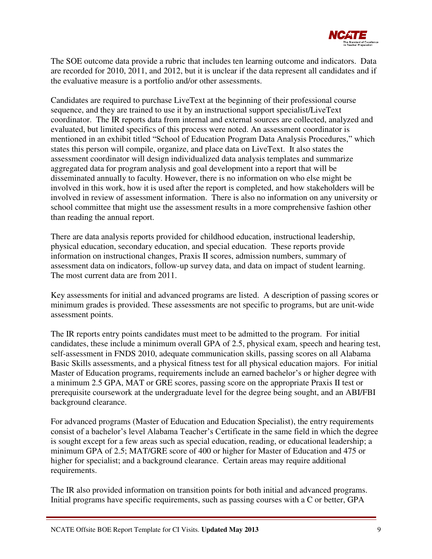

The SOE outcome data provide a rubric that includes ten learning outcome and indicators. Data are recorded for 2010, 2011, and 2012, but it is unclear if the data represent all candidates and if the evaluative measure is a portfolio and/or other assessments.

Candidates are required to purchase LiveText at the beginning of their professional course sequence, and they are trained to use it by an instructional support specialist/LiveText coordinator. The IR reports data from internal and external sources are collected, analyzed and evaluated, but limited specifics of this process were noted. An assessment coordinator is mentioned in an exhibit titled "School of Education Program Data Analysis Procedures," which states this person will compile, organize, and place data on LiveText. It also states the assessment coordinator will design individualized data analysis templates and summarize aggregated data for program analysis and goal development into a report that will be disseminated annually to faculty. However, there is no information on who else might be involved in this work, how it is used after the report is completed, and how stakeholders will be involved in review of assessment information. There is also no information on any university or school committee that might use the assessment results in a more comprehensive fashion other than reading the annual report.

There are data analysis reports provided for childhood education, instructional leadership, physical education, secondary education, and special education. These reports provide information on instructional changes, Praxis II scores, admission numbers, summary of assessment data on indicators, follow-up survey data, and data on impact of student learning. The most current data are from 2011.

Key assessments for initial and advanced programs are listed. A description of passing scores or minimum grades is provided. These assessments are not specific to programs, but are unit-wide assessment points.

The IR reports entry points candidates must meet to be admitted to the program. For initial candidates, these include a minimum overall GPA of 2.5, physical exam, speech and hearing test, self-assessment in FNDS 2010, adequate communication skills, passing scores on all Alabama Basic Skills assessments, and a physical fitness test for all physical education majors. For initial Master of Education programs, requirements include an earned bachelor's or higher degree with a minimum 2.5 GPA, MAT or GRE scores, passing score on the appropriate Praxis II test or prerequisite coursework at the undergraduate level for the degree being sought, and an ABI/FBI background clearance.

For advanced programs (Master of Education and Education Specialist), the entry requirements consist of a bachelor's level Alabama Teacher's Certificate in the same field in which the degree is sought except for a few areas such as special education, reading, or educational leadership; a minimum GPA of 2.5; MAT/GRE score of 400 or higher for Master of Education and 475 or higher for specialist; and a background clearance. Certain areas may require additional requirements.

The IR also provided information on transition points for both initial and advanced programs. Initial programs have specific requirements, such as passing courses with a C or better, GPA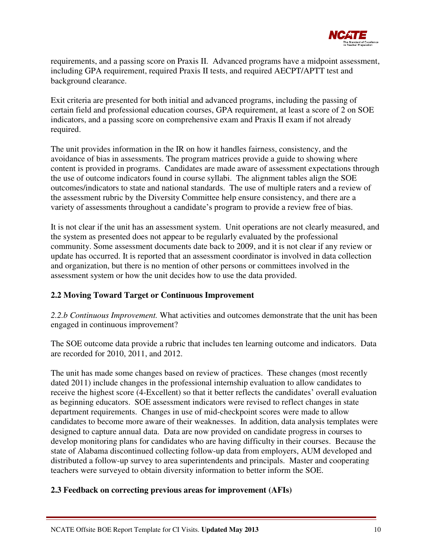

requirements, and a passing score on Praxis II. Advanced programs have a midpoint assessment, including GPA requirement, required Praxis II tests, and required AECPT/APTT test and background clearance.

Exit criteria are presented for both initial and advanced programs, including the passing of certain field and professional education courses, GPA requirement, at least a score of 2 on SOE indicators, and a passing score on comprehensive exam and Praxis II exam if not already required.

The unit provides information in the IR on how it handles fairness, consistency, and the avoidance of bias in assessments. The program matrices provide a guide to showing where content is provided in programs. Candidates are made aware of assessment expectations through the use of outcome indicators found in course syllabi. The alignment tables align the SOE outcomes/indicators to state and national standards. The use of multiple raters and a review of the assessment rubric by the Diversity Committee help ensure consistency, and there are a variety of assessments throughout a candidate's program to provide a review free of bias.

It is not clear if the unit has an assessment system. Unit operations are not clearly measured, and the system as presented does not appear to be regularly evaluated by the professional community. Some assessment documents date back to 2009, and it is not clear if any review or update has occurred. It is reported that an assessment coordinator is involved in data collection and organization, but there is no mention of other persons or committees involved in the assessment system or how the unit decides how to use the data provided.

## **2.2 Moving Toward Target or Continuous Improvement**

*2.2.b Continuous Improvement.* What activities and outcomes demonstrate that the unit has been engaged in continuous improvement?

The SOE outcome data provide a rubric that includes ten learning outcome and indicators. Data are recorded for 2010, 2011, and 2012.

The unit has made some changes based on review of practices. These changes (most recently dated 2011) include changes in the professional internship evaluation to allow candidates to receive the highest score (4-Excellent) so that it better reflects the candidates' overall evaluation as beginning educators. SOE assessment indicators were revised to reflect changes in state department requirements. Changes in use of mid-checkpoint scores were made to allow candidates to become more aware of their weaknesses. In addition, data analysis templates were designed to capture annual data. Data are now provided on candidate progress in courses to develop monitoring plans for candidates who are having difficulty in their courses. Because the state of Alabama discontinued collecting follow-up data from employers, AUM developed and distributed a follow-up survey to area superintendents and principals. Master and cooperating teachers were surveyed to obtain diversity information to better inform the SOE.

## **2.3 Feedback on correcting previous areas for improvement (AFIs)**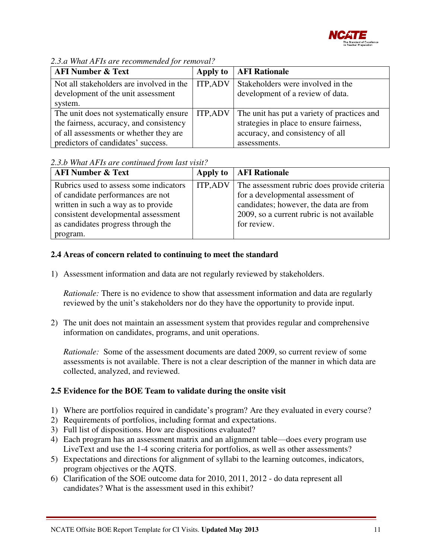

| <b>AFI Number &amp; Text</b>             | Apply to       | <b>AFI Rationale</b>                        |  |
|------------------------------------------|----------------|---------------------------------------------|--|
| Not all stakeholders are involved in the | <b>ITP,ADV</b> | Stakeholders were involved in the           |  |
| development of the unit assessment       |                | development of a review of data.            |  |
| system.                                  |                |                                             |  |
| The unit does not systematically ensure  | <b>ITP,ADV</b> | The unit has put a variety of practices and |  |
| the fairness, accuracy, and consistency  |                | strategies in place to ensure fairness,     |  |
| of all assessments or whether they are   |                | accuracy, and consistency of all            |  |
| predictors of candidates' success.       |                | assessments.                                |  |

*2.3.a What AFIs are recommended for removal?*

#### *2.3.b What AFIs are continued from last visit?*

| <b>AFI Number &amp; Text</b>                                                                                                                                                                                |                | Apply to   AFI Rationale                                                                                                                                                                |
|-------------------------------------------------------------------------------------------------------------------------------------------------------------------------------------------------------------|----------------|-----------------------------------------------------------------------------------------------------------------------------------------------------------------------------------------|
| Rubrics used to assess some indicators<br>of candidate performances are not<br>written in such a way as to provide<br>consistent developmental assessment<br>as candidates progress through the<br>program. | <b>ITP,ADV</b> | The assessment rubric does provide criteria<br>for a developmental assessment of<br>candidates; however, the data are from<br>2009, so a current rubric is not available<br>for review. |

## **2.4 Areas of concern related to continuing to meet the standard**

1) Assessment information and data are not regularly reviewed by stakeholders.

*Rationale:* There is no evidence to show that assessment information and data are regularly reviewed by the unit's stakeholders nor do they have the opportunity to provide input.

2) The unit does not maintain an assessment system that provides regular and comprehensive information on candidates, programs, and unit operations.

*Rationale:* Some of the assessment documents are dated 2009, so current review of some assessments is not available. There is not a clear description of the manner in which data are collected, analyzed, and reviewed.

## **2.5 Evidence for the BOE Team to validate during the onsite visit**

- 1) Where are portfolios required in candidate's program? Are they evaluated in every course?
- 2) Requirements of portfolios, including format and expectations.
- 3) Full list of dispositions. How are dispositions evaluated?
- 4) Each program has an assessment matrix and an alignment table—does every program use LiveText and use the 1-4 scoring criteria for portfolios, as well as other assessments?
- 5) Expectations and directions for alignment of syllabi to the learning outcomes, indicators, program objectives or the AQTS.
- 6) Clarification of the SOE outcome data for 2010, 2011, 2012 do data represent all candidates? What is the assessment used in this exhibit?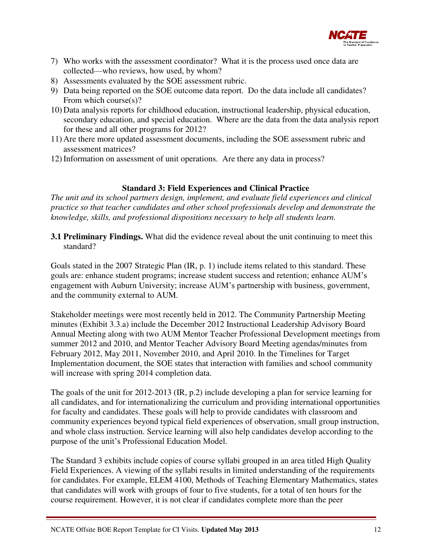

- 7) Who works with the assessment coordinator? What it is the process used once data are collected—who reviews, how used, by whom?
- 8) Assessments evaluated by the SOE assessment rubric.
- 9) Data being reported on the SOE outcome data report. Do the data include all candidates? From which course(s)?
- 10) Data analysis reports for childhood education, instructional leadership, physical education, secondary education, and special education. Where are the data from the data analysis report for these and all other programs for 2012?
- 11) Are there more updated assessment documents, including the SOE assessment rubric and assessment matrices?
- 12) Information on assessment of unit operations. Are there any data in process?

## **Standard 3: Field Experiences and Clinical Practice**

*The unit and its school partners design, implement, and evaluate field experiences and clinical practice so that teacher candidates and other school professionals develop and demonstrate the knowledge, skills, and professional dispositions necessary to help all students learn.* 

**3.1 Preliminary Findings.** What did the evidence reveal about the unit continuing to meet this standard?

Goals stated in the 2007 Strategic Plan (IR, p. 1) include items related to this standard. These goals are: enhance student programs; increase student success and retention; enhance AUM's engagement with Auburn University; increase AUM's partnership with business, government, and the community external to AUM.

Stakeholder meetings were most recently held in 2012. The Community Partnership Meeting minutes (Exhibit 3.3.a) include the December 2012 Instructional Leadership Advisory Board Annual Meeting along with two AUM Mentor Teacher Professional Development meetings from summer 2012 and 2010, and Mentor Teacher Advisory Board Meeting agendas/minutes from February 2012, May 2011, November 2010, and April 2010. In the Timelines for Target Implementation document, the SOE states that interaction with families and school community will increase with spring 2014 completion data.

The goals of the unit for 2012-2013 (IR, p.2) include developing a plan for service learning for all candidates, and for internationalizing the curriculum and providing international opportunities for faculty and candidates. These goals will help to provide candidates with classroom and community experiences beyond typical field experiences of observation, small group instruction, and whole class instruction. Service learning will also help candidates develop according to the purpose of the unit's Professional Education Model.

The Standard 3 exhibits include copies of course syllabi grouped in an area titled High Quality Field Experiences. A viewing of the syllabi results in limited understanding of the requirements for candidates. For example, ELEM 4100, Methods of Teaching Elementary Mathematics, states that candidates will work with groups of four to five students, for a total of ten hours for the course requirement. However, it is not clear if candidates complete more than the peer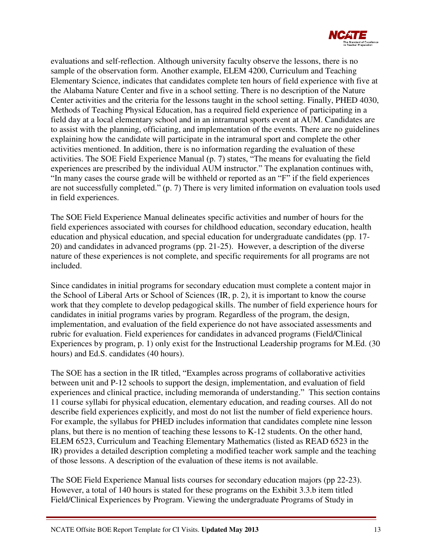

evaluations and self-reflection. Although university faculty observe the lessons, there is no sample of the observation form. Another example, ELEM 4200, Curriculum and Teaching Elementary Science, indicates that candidates complete ten hours of field experience with five at the Alabama Nature Center and five in a school setting. There is no description of the Nature Center activities and the criteria for the lessons taught in the school setting. Finally, PHED 4030, Methods of Teaching Physical Education, has a required field experience of participating in a field day at a local elementary school and in an intramural sports event at AUM. Candidates are to assist with the planning, officiating, and implementation of the events. There are no guidelines explaining how the candidate will participate in the intramural sport and complete the other activities mentioned. In addition, there is no information regarding the evaluation of these activities. The SOE Field Experience Manual (p. 7) states, "The means for evaluating the field experiences are prescribed by the individual AUM instructor." The explanation continues with, "In many cases the course grade will be withheld or reported as an "F" if the field experiences are not successfully completed." (p. 7) There is very limited information on evaluation tools used in field experiences.

The SOE Field Experience Manual delineates specific activities and number of hours for the field experiences associated with courses for childhood education, secondary education, health education and physical education, and special education for undergraduate candidates (pp. 17- 20) and candidates in advanced programs (pp. 21-25). However, a description of the diverse nature of these experiences is not complete, and specific requirements for all programs are not included.

Since candidates in initial programs for secondary education must complete a content major in the School of Liberal Arts or School of Sciences (IR, p. 2), it is important to know the course work that they complete to develop pedagogical skills. The number of field experience hours for candidates in initial programs varies by program. Regardless of the program, the design, implementation, and evaluation of the field experience do not have associated assessments and rubric for evaluation. Field experiences for candidates in advanced programs (Field/Clinical Experiences by program, p. 1) only exist for the Instructional Leadership programs for M.Ed. (30 hours) and Ed.S. candidates (40 hours).

The SOE has a section in the IR titled, "Examples across programs of collaborative activities between unit and P-12 schools to support the design, implementation, and evaluation of field experiences and clinical practice, including memoranda of understanding." This section contains 11 course syllabi for physical education, elementary education, and reading courses. All do not describe field experiences explicitly, and most do not list the number of field experience hours. For example, the syllabus for PHED includes information that candidates complete nine lesson plans, but there is no mention of teaching these lessons to K-12 students. On the other hand, ELEM 6523, Curriculum and Teaching Elementary Mathematics (listed as READ 6523 in the IR) provides a detailed description completing a modified teacher work sample and the teaching of those lessons. A description of the evaluation of these items is not available.

The SOE Field Experience Manual lists courses for secondary education majors (pp 22-23). However, a total of 140 hours is stated for these programs on the Exhibit 3.3.b item titled Field/Clinical Experiences by Program. Viewing the undergraduate Programs of Study in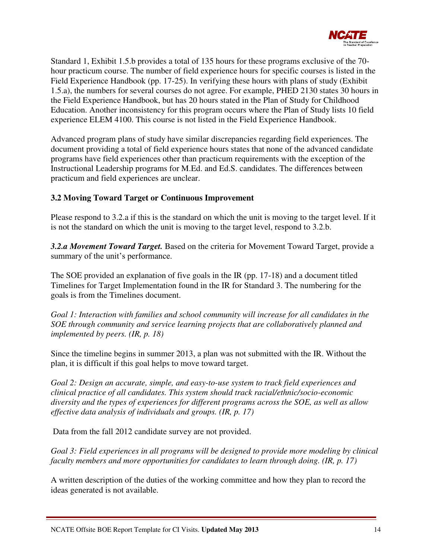

Standard 1, Exhibit 1.5.b provides a total of 135 hours for these programs exclusive of the 70 hour practicum course. The number of field experience hours for specific courses is listed in the Field Experience Handbook (pp. 17-25). In verifying these hours with plans of study (Exhibit 1.5.a), the numbers for several courses do not agree. For example, PHED 2130 states 30 hours in the Field Experience Handbook, but has 20 hours stated in the Plan of Study for Childhood Education. Another inconsistency for this program occurs where the Plan of Study lists 10 field experience ELEM 4100. This course is not listed in the Field Experience Handbook.

Advanced program plans of study have similar discrepancies regarding field experiences. The document providing a total of field experience hours states that none of the advanced candidate programs have field experiences other than practicum requirements with the exception of the Instructional Leadership programs for M.Ed. and Ed.S. candidates. The differences between practicum and field experiences are unclear.

## **3.2 Moving Toward Target or Continuous Improvement**

Please respond to 3.2.a if this is the standard on which the unit is moving to the target level. If it is not the standard on which the unit is moving to the target level, respond to 3.2.b.

*3.2.a Movement Toward Target.* Based on the criteria for Movement Toward Target, provide a summary of the unit's performance.

The SOE provided an explanation of five goals in the IR (pp. 17-18) and a document titled Timelines for Target Implementation found in the IR for Standard 3. The numbering for the goals is from the Timelines document.

*Goal 1: Interaction with families and school community will increase for all candidates in the SOE through community and service learning projects that are collaboratively planned and implemented by peers. (IR, p. 18)*

Since the timeline begins in summer 2013, a plan was not submitted with the IR. Without the plan, it is difficult if this goal helps to move toward target.

*Goal 2: Design an accurate, simple, and easy-to-use system to track field experiences and clinical practice of all candidates. This system should track racial/ethnic/socio-economic diversity and the types of experiences for different programs across the SOE, as well as allow effective data analysis of individuals and groups. (IR, p. 17)* 

Data from the fall 2012 candidate survey are not provided.

*Goal 3: Field experiences in all programs will be designed to provide more modeling by clinical faculty members and more opportunities for candidates to learn through doing. (IR, p. 17)*

A written description of the duties of the working committee and how they plan to record the ideas generated is not available.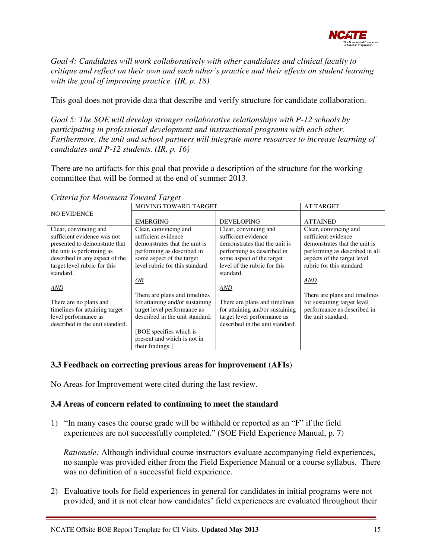

*Goal 4: Candidates will work collaboratively with other candidates and clinical faculty to critique and reflect on their own and each other's practice and their effects on student learning with the goal of improving practice. (IR, p. 18)*

This goal does not provide data that describe and verify structure for candidate collaboration.

*Goal 5: The SOE will develop stronger collaborative relationships with P-12 schools by participating in professional development and instructional programs with each other. Furthermore, the unit and school partners will integrate more resources to increase learning of candidates and P-12 students. (IR, p. 16)*

There are no artifacts for this goal that provide a description of the structure for the working committee that will be formed at the end of summer 2013.

|                                 | <b>MOVING TOWARD TARGET</b>     | <b>AT TARGET</b>                |                                |
|---------------------------------|---------------------------------|---------------------------------|--------------------------------|
| <b>NO EVIDENCE</b>              |                                 |                                 |                                |
|                                 | <b>EMERGING</b>                 | <b>DEVELOPING</b>               | <b>ATTAINED</b>                |
| Clear, convincing and           | Clear, convincing and           | Clear, convincing and           | Clear, convincing and          |
| sufficient evidence was not     | sufficient evidence             | sufficient evidence             | sufficient evidence            |
| presented to demonstrate that   | demonstrates that the unit is   | demonstrates that the unit is   | demonstrates that the unit is  |
| the unit is performing as       | performing as described in      | performing as described in      | performing as described in all |
| described in any aspect of the  | some aspect of the target       | some aspect of the target       | aspects of the target level    |
| target level rubric for this    | level rubric for this standard. | level of the rubric for this    | rubric for this standard.      |
| standard.                       |                                 | standard.                       |                                |
|                                 | <u>OR</u>                       |                                 | AND                            |
| AND                             |                                 | AND                             |                                |
|                                 | There are plans and timelines   |                                 | There are plans and timelines  |
| There are no plans and          | for attaining and/or sustaining | There are plans and timelines   | for sustaining target level    |
| timelines for attaining target  | target level performance as     | for attaining and/or sustaining | performance as described in    |
| level performance as            | described in the unit standard. | target level performance as     | the unit standard.             |
| described in the unit standard. |                                 | described in the unit standard. |                                |
|                                 | [BOE specifies which is         |                                 |                                |
|                                 | present and which is not in     |                                 |                                |
|                                 | their findings.                 |                                 |                                |

*Criteria for Movement Toward Target* 

## **3.3 Feedback on correcting previous areas for improvement (AFIs**)

No Areas for Improvement were cited during the last review.

#### **3.4 Areas of concern related to continuing to meet the standard**

1) "In many cases the course grade will be withheld or reported as an "F" if the field experiences are not successfully completed." (SOE Field Experience Manual, p. 7)

*Rationale:* Although individual course instructors evaluate accompanying field experiences, no sample was provided either from the Field Experience Manual or a course syllabus. There was no definition of a successful field experience.

2) Evaluative tools for field experiences in general for candidates in initial programs were not provided, and it is not clear how candidates' field experiences are evaluated throughout their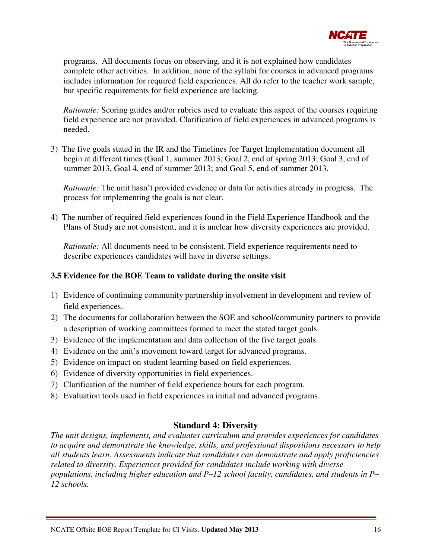

programs. All documents focus on observing, and it is not explained how candidates complete other activities. In addition, none of the syllabi for courses in advanced programs includes information for required field experiences. All do refer to the teacher work sample, but specific requirements for field experience are lacking.

*Rationale:* Scoring guides and/or rubrics used to evaluate this aspect of the courses requiring field experience are not provided. Clarification of field experiences in advanced programs is needed.

3) The five goals stated in the IR and the Timelines for Target Implementation document all begin at different times (Goal 1, summer 2013; Goal 2, end of spring 2013; Goal 3, end of summer 2013, Goal 4, end of summer 2013; and Goal 5, end of summer 2013.

*Rationale:* The unit hasn't provided evidence or data for activities already in progress. The process for implementing the goals is not clear.

4) The number of required field experiences found in the Field Experience Handbook and the Plans of Study are not consistent, and it is unclear how diversity experiences are provided.

*Rationale:* All documents need to be consistent. Field experience requirements need to describe experiences candidates will have in diverse settings.

## **3.5 Evidence for the BOE Team to validate during the onsite visit**

- 1) Evidence of continuing community partnership involvement in development and review of field experiences.
- 2) The documents for collaboration between the SOE and school/community partners to provide a description of working committees formed to meet the stated target goals.
- 3) Evidence of the implementation and data collection of the five target goals.
- 4) Evidence on the unit's movement toward target for advanced programs.
- 5) Evidence on impact on student learning based on field experiences.
- 6) Evidence of diversity opportunities in field experiences.
- 7) Clarification of the number of field experience hours for each program.
- 8) Evaluation tools used in field experiences in initial and advanced programs.

## **Standard 4: Diversity**

*The unit designs, implements, and evaluates curriculum and provides experiences for candidates to acquire and demonstrate the knowledge, skills, and professional dispositions necessary to help all students learn. Assessments indicate that candidates can demonstrate and apply proficiencies related to diversity. Experiences provided for candidates include working with diverse populations, including higher education and P–12 school faculty, candidates, and students in P– 12 schools.*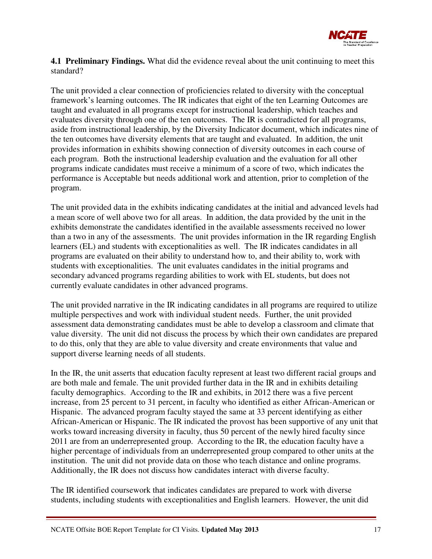

**4.1 Preliminary Findings.** What did the evidence reveal about the unit continuing to meet this standard?

The unit provided a clear connection of proficiencies related to diversity with the conceptual framework's learning outcomes. The IR indicates that eight of the ten Learning Outcomes are taught and evaluated in all programs except for instructional leadership, which teaches and evaluates diversity through one of the ten outcomes. The IR is contradicted for all programs, aside from instructional leadership, by the Diversity Indicator document, which indicates nine of the ten outcomes have diversity elements that are taught and evaluated. In addition, the unit provides information in exhibits showing connection of diversity outcomes in each course of each program. Both the instructional leadership evaluation and the evaluation for all other programs indicate candidates must receive a minimum of a score of two, which indicates the performance is Acceptable but needs additional work and attention, prior to completion of the program.

The unit provided data in the exhibits indicating candidates at the initial and advanced levels had a mean score of well above two for all areas. In addition, the data provided by the unit in the exhibits demonstrate the candidates identified in the available assessments received no lower than a two in any of the assessments. The unit provides information in the IR regarding English learners (EL) and students with exceptionalities as well. The IR indicates candidates in all programs are evaluated on their ability to understand how to, and their ability to, work with students with exceptionalities. The unit evaluates candidates in the initial programs and secondary advanced programs regarding abilities to work with EL students, but does not currently evaluate candidates in other advanced programs.

The unit provided narrative in the IR indicating candidates in all programs are required to utilize multiple perspectives and work with individual student needs. Further, the unit provided assessment data demonstrating candidates must be able to develop a classroom and climate that value diversity. The unit did not discuss the process by which their own candidates are prepared to do this, only that they are able to value diversity and create environments that value and support diverse learning needs of all students.

In the IR, the unit asserts that education faculty represent at least two different racial groups and are both male and female. The unit provided further data in the IR and in exhibits detailing faculty demographics. According to the IR and exhibits, in 2012 there was a five percent increase, from 25 percent to 31 percent, in faculty who identified as either African-American or Hispanic. The advanced program faculty stayed the same at 33 percent identifying as either African-American or Hispanic. The IR indicated the provost has been supportive of any unit that works toward increasing diversity in faculty, thus 50 percent of the newly hired faculty since 2011 are from an underrepresented group. According to the IR, the education faculty have a higher percentage of individuals from an underrepresented group compared to other units at the institution. The unit did not provide data on those who teach distance and online programs. Additionally, the IR does not discuss how candidates interact with diverse faculty.

The IR identified coursework that indicates candidates are prepared to work with diverse students, including students with exceptionalities and English learners. However, the unit did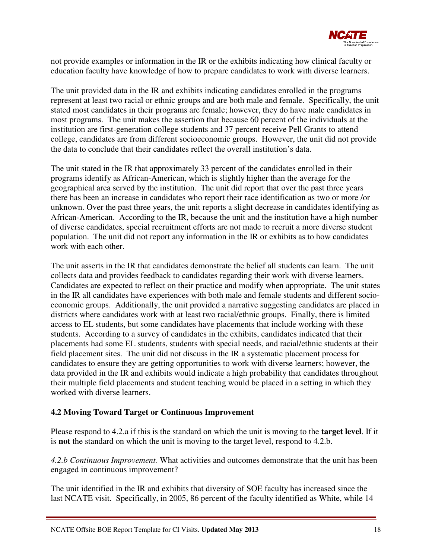

not provide examples or information in the IR or the exhibits indicating how clinical faculty or education faculty have knowledge of how to prepare candidates to work with diverse learners.

The unit provided data in the IR and exhibits indicating candidates enrolled in the programs represent at least two racial or ethnic groups and are both male and female. Specifically, the unit stated most candidates in their programs are female; however, they do have male candidates in most programs. The unit makes the assertion that because 60 percent of the individuals at the institution are first-generation college students and 37 percent receive Pell Grants to attend college, candidates are from different socioeconomic groups. However, the unit did not provide the data to conclude that their candidates reflect the overall institution's data.

The unit stated in the IR that approximately 33 percent of the candidates enrolled in their programs identify as African-American, which is slightly higher than the average for the geographical area served by the institution. The unit did report that over the past three years there has been an increase in candidates who report their race identification as two or more /or unknown. Over the past three years, the unit reports a slight decrease in candidates identifying as African-American. According to the IR, because the unit and the institution have a high number of diverse candidates, special recruitment efforts are not made to recruit a more diverse student population. The unit did not report any information in the IR or exhibits as to how candidates work with each other.

The unit asserts in the IR that candidates demonstrate the belief all students can learn. The unit collects data and provides feedback to candidates regarding their work with diverse learners. Candidates are expected to reflect on their practice and modify when appropriate. The unit states in the IR all candidates have experiences with both male and female students and different socioeconomic groups. Additionally, the unit provided a narrative suggesting candidates are placed in districts where candidates work with at least two racial/ethnic groups. Finally, there is limited access to EL students, but some candidates have placements that include working with these students. According to a survey of candidates in the exhibits, candidates indicated that their placements had some EL students, students with special needs, and racial/ethnic students at their field placement sites. The unit did not discuss in the IR a systematic placement process for candidates to ensure they are getting opportunities to work with diverse learners; however, the data provided in the IR and exhibits would indicate a high probability that candidates throughout their multiple field placements and student teaching would be placed in a setting in which they worked with diverse learners.

#### **4.2 Moving Toward Target or Continuous Improvement**

Please respond to 4.2.a if this is the standard on which the unit is moving to the **target level**. If it is **not** the standard on which the unit is moving to the target level, respond to 4.2.b.

*4.2.b Continuous Improvement.* What activities and outcomes demonstrate that the unit has been engaged in continuous improvement?

The unit identified in the IR and exhibits that diversity of SOE faculty has increased since the last NCATE visit. Specifically, in 2005, 86 percent of the faculty identified as White, while 14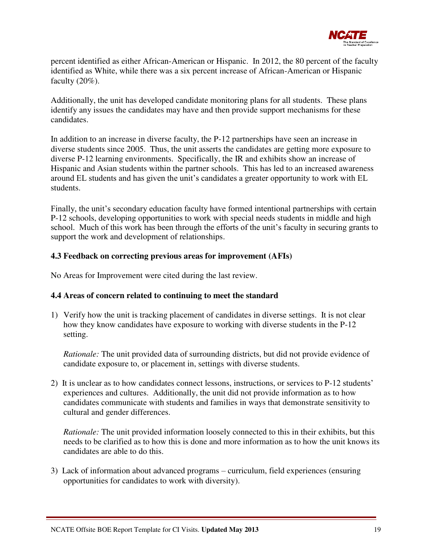

percent identified as either African-American or Hispanic. In 2012, the 80 percent of the faculty identified as White, while there was a six percent increase of African-American or Hispanic faculty  $(20\%)$ .

Additionally, the unit has developed candidate monitoring plans for all students. These plans identify any issues the candidates may have and then provide support mechanisms for these candidates.

In addition to an increase in diverse faculty, the P-12 partnerships have seen an increase in diverse students since 2005. Thus, the unit asserts the candidates are getting more exposure to diverse P-12 learning environments. Specifically, the IR and exhibits show an increase of Hispanic and Asian students within the partner schools. This has led to an increased awareness around EL students and has given the unit's candidates a greater opportunity to work with EL students.

Finally, the unit's secondary education faculty have formed intentional partnerships with certain P-12 schools, developing opportunities to work with special needs students in middle and high school. Much of this work has been through the efforts of the unit's faculty in securing grants to support the work and development of relationships.

#### **4.3 Feedback on correcting previous areas for improvement (AFIs)**

No Areas for Improvement were cited during the last review.

#### **4.4 Areas of concern related to continuing to meet the standard**

1) Verify how the unit is tracking placement of candidates in diverse settings. It is not clear how they know candidates have exposure to working with diverse students in the P-12 setting.

*Rationale:* The unit provided data of surrounding districts, but did not provide evidence of candidate exposure to, or placement in, settings with diverse students.

2) It is unclear as to how candidates connect lessons, instructions, or services to P-12 students' experiences and cultures. Additionally, the unit did not provide information as to how candidates communicate with students and families in ways that demonstrate sensitivity to cultural and gender differences.

*Rationale:* The unit provided information loosely connected to this in their exhibits, but this needs to be clarified as to how this is done and more information as to how the unit knows its candidates are able to do this.

3) Lack of information about advanced programs – curriculum, field experiences (ensuring opportunities for candidates to work with diversity).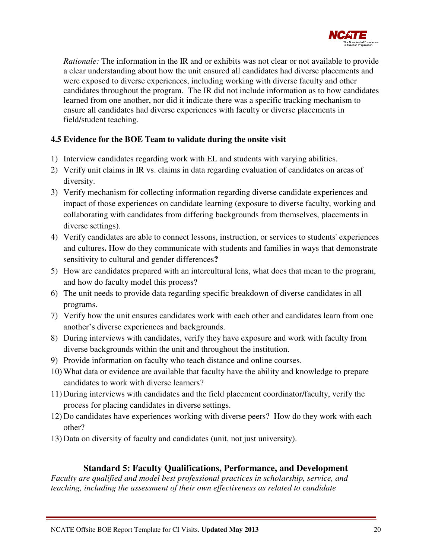

*Rationale:* The information in the IR and or exhibits was not clear or not available to provide a clear understanding about how the unit ensured all candidates had diverse placements and were exposed to diverse experiences, including working with diverse faculty and other candidates throughout the program. The IR did not include information as to how candidates learned from one another, nor did it indicate there was a specific tracking mechanism to ensure all candidates had diverse experiences with faculty or diverse placements in field/student teaching.

#### **4.5 Evidence for the BOE Team to validate during the onsite visit**

- 1) Interview candidates regarding work with EL and students with varying abilities.
- 2) Verify unit claims in IR vs. claims in data regarding evaluation of candidates on areas of diversity.
- 3) Verify mechanism for collecting information regarding diverse candidate experiences and impact of those experiences on candidate learning (exposure to diverse faculty, working and collaborating with candidates from differing backgrounds from themselves, placements in diverse settings).
- 4) Verify candidates are able to connect lessons, instruction, or services to students' experiences and cultures**.** How do they communicate with students and families in ways that demonstrate sensitivity to cultural and gender differences**?**
- 5) How are candidates prepared with an intercultural lens, what does that mean to the program, and how do faculty model this process?
- 6) The unit needs to provide data regarding specific breakdown of diverse candidates in all programs.
- 7) Verify how the unit ensures candidates work with each other and candidates learn from one another's diverse experiences and backgrounds.
- 8) During interviews with candidates, verify they have exposure and work with faculty from diverse backgrounds within the unit and throughout the institution.
- 9) Provide information on faculty who teach distance and online courses.
- 10) What data or evidence are available that faculty have the ability and knowledge to prepare candidates to work with diverse learners?
- 11) During interviews with candidates and the field placement coordinator/faculty, verify the process for placing candidates in diverse settings.
- 12) Do candidates have experiences working with diverse peers? How do they work with each other?
- 13) Data on diversity of faculty and candidates (unit, not just university).

## **Standard 5: Faculty Qualifications, Performance, and Development**

*Faculty are qualified and model best professional practices in scholarship, service, and teaching, including the assessment of their own effectiveness as related to candidate*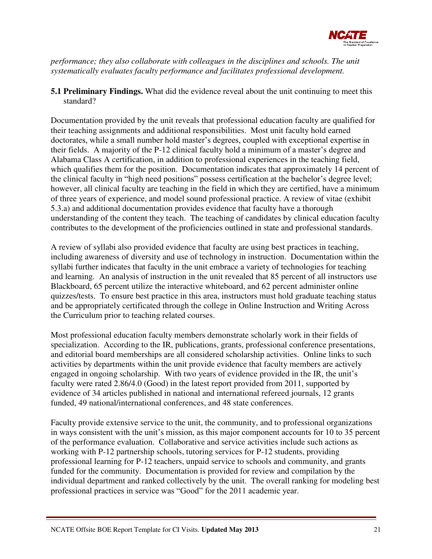

*performance; they also collaborate with colleagues in the disciplines and schools. The unit systematically evaluates faculty performance and facilitates professional development.*

**5.1 Preliminary Findings.** What did the evidence reveal about the unit continuing to meet this standard?

Documentation provided by the unit reveals that professional education faculty are qualified for their teaching assignments and additional responsibilities. Most unit faculty hold earned doctorates, while a small number hold master's degrees, coupled with exceptional expertise in their fields. A majority of the P-12 clinical faculty hold a minimum of a master's degree and Alabama Class A certification, in addition to professional experiences in the teaching field, which qualifies them for the position. Documentation indicates that approximately 14 percent of the clinical faculty in "high need positions" possess certification at the bachelor's degree level; however, all clinical faculty are teaching in the field in which they are certified, have a minimum of three years of experience, and model sound professional practice. A review of vitae (exhibit 5.3.a) and additional documentation provides evidence that faculty have a thorough understanding of the content they teach. The teaching of candidates by clinical education faculty contributes to the development of the proficiencies outlined in state and professional standards.

A review of syllabi also provided evidence that faculty are using best practices in teaching, including awareness of diversity and use of technology in instruction. Documentation within the syllabi further indicates that faculty in the unit embrace a variety of technologies for teaching and learning. An analysis of instruction in the unit revealed that 85 percent of all instructors use Blackboard, 65 percent utilize the interactive whiteboard, and 62 percent administer online quizzes/tests. To ensure best practice in this area, instructors must hold graduate teaching status and be appropriately certificated through the college in Online Instruction and Writing Across the Curriculum prior to teaching related courses.

Most professional education faculty members demonstrate scholarly work in their fields of specialization. According to the IR, publications, grants, professional conference presentations, and editorial board memberships are all considered scholarship activities. Online links to such activities by departments within the unit provide evidence that faculty members are actively engaged in ongoing scholarship. With two years of evidence provided in the IR, the unit's faculty were rated 2.86/4.0 (Good) in the latest report provided from 2011, supported by evidence of 34 articles published in national and international refereed journals, 12 grants funded, 49 national/international conferences, and 48 state conferences.

Faculty provide extensive service to the unit, the community, and to professional organizations in ways consistent with the unit's mission, as this major component accounts for 10 to 35 percent of the performance evaluation. Collaborative and service activities include such actions as working with P-12 partnership schools, tutoring services for P-12 students, providing professional learning for P-12 teachers, unpaid service to schools and community, and grants funded for the community. Documentation is provided for review and compilation by the individual department and ranked collectively by the unit. The overall ranking for modeling best professional practices in service was "Good" for the 2011 academic year.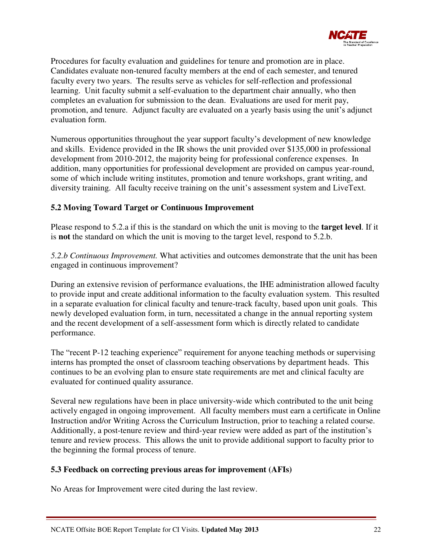

Procedures for faculty evaluation and guidelines for tenure and promotion are in place. Candidates evaluate non-tenured faculty members at the end of each semester, and tenured faculty every two years. The results serve as vehicles for self-reflection and professional learning. Unit faculty submit a self-evaluation to the department chair annually, who then completes an evaluation for submission to the dean. Evaluations are used for merit pay, promotion, and tenure. Adjunct faculty are evaluated on a yearly basis using the unit's adjunct evaluation form.

Numerous opportunities throughout the year support faculty's development of new knowledge and skills. Evidence provided in the IR shows the unit provided over \$135,000 in professional development from 2010-2012, the majority being for professional conference expenses. In addition, many opportunities for professional development are provided on campus year-round, some of which include writing institutes, promotion and tenure workshops, grant writing, and diversity training. All faculty receive training on the unit's assessment system and LiveText.

## **5.2 Moving Toward Target or Continuous Improvement**

Please respond to 5.2.a if this is the standard on which the unit is moving to the **target level**. If it is **not** the standard on which the unit is moving to the target level, respond to 5.2.b.

*5.2.b Continuous Improvement.* What activities and outcomes demonstrate that the unit has been engaged in continuous improvement?

During an extensive revision of performance evaluations, the IHE administration allowed faculty to provide input and create additional information to the faculty evaluation system. This resulted in a separate evaluation for clinical faculty and tenure-track faculty, based upon unit goals. This newly developed evaluation form, in turn, necessitated a change in the annual reporting system and the recent development of a self-assessment form which is directly related to candidate performance.

The "recent P-12 teaching experience" requirement for anyone teaching methods or supervising interns has prompted the onset of classroom teaching observations by department heads. This continues to be an evolving plan to ensure state requirements are met and clinical faculty are evaluated for continued quality assurance.

Several new regulations have been in place university-wide which contributed to the unit being actively engaged in ongoing improvement. All faculty members must earn a certificate in Online Instruction and/or Writing Across the Curriculum Instruction, prior to teaching a related course. Additionally, a post-tenure review and third-year review were added as part of the institution's tenure and review process. This allows the unit to provide additional support to faculty prior to the beginning the formal process of tenure.

## **5.3 Feedback on correcting previous areas for improvement (AFIs)**

No Areas for Improvement were cited during the last review.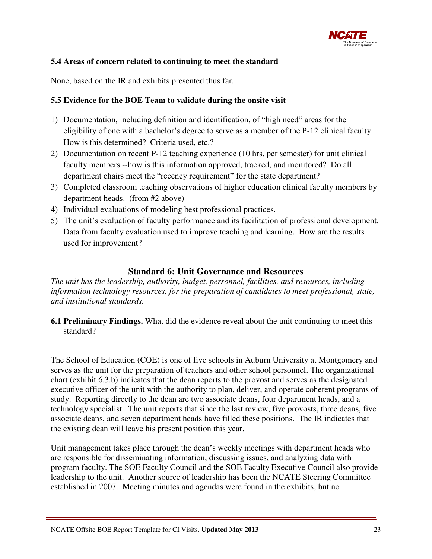

#### **5.4 Areas of concern related to continuing to meet the standard**

None, based on the IR and exhibits presented thus far.

#### **5.5 Evidence for the BOE Team to validate during the onsite visit**

- 1) Documentation, including definition and identification, of "high need" areas for the eligibility of one with a bachelor's degree to serve as a member of the P-12 clinical faculty. How is this determined? Criteria used, etc.?
- 2) Documentation on recent P-12 teaching experience (10 hrs. per semester) for unit clinical faculty members --how is this information approved, tracked, and monitored? Do all department chairs meet the "recency requirement" for the state department?
- 3) Completed classroom teaching observations of higher education clinical faculty members by department heads. (from #2 above)
- 4) Individual evaluations of modeling best professional practices.
- 5) The unit's evaluation of faculty performance and its facilitation of professional development. Data from faculty evaluation used to improve teaching and learning. How are the results used for improvement?

## **Standard 6: Unit Governance and Resources**

*The unit has the leadership, authority, budget, personnel, facilities, and resources, including information technology resources, for the preparation of candidates to meet professional, state, and institutional standards.* 

**6.1 Preliminary Findings.** What did the evidence reveal about the unit continuing to meet this standard?

The School of Education (COE) is one of five schools in Auburn University at Montgomery and serves as the unit for the preparation of teachers and other school personnel. The organizational chart (exhibit 6.3.b) indicates that the dean reports to the provost and serves as the designated executive officer of the unit with the authority to plan, deliver, and operate coherent programs of study. Reporting directly to the dean are two associate deans, four department heads, and a technology specialist. The unit reports that since the last review, five provosts, three deans, five associate deans, and seven department heads have filled these positions. The IR indicates that the existing dean will leave his present position this year.

Unit management takes place through the dean's weekly meetings with department heads who are responsible for disseminating information, discussing issues, and analyzing data with program faculty. The SOE Faculty Council and the SOE Faculty Executive Council also provide leadership to the unit. Another source of leadership has been the NCATE Steering Committee established in 2007. Meeting minutes and agendas were found in the exhibits, but no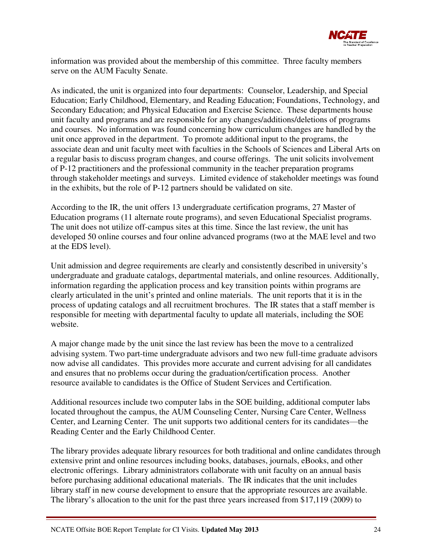

information was provided about the membership of this committee. Three faculty members serve on the AUM Faculty Senate.

As indicated, the unit is organized into four departments: Counselor, Leadership, and Special Education; Early Childhood, Elementary, and Reading Education; Foundations, Technology, and Secondary Education; and Physical Education and Exercise Science. These departments house unit faculty and programs and are responsible for any changes/additions/deletions of programs and courses. No information was found concerning how curriculum changes are handled by the unit once approved in the department. To promote additional input to the programs, the associate dean and unit faculty meet with faculties in the Schools of Sciences and Liberal Arts on a regular basis to discuss program changes, and course offerings. The unit solicits involvement of P-12 practitioners and the professional community in the teacher preparation programs through stakeholder meetings and surveys. Limited evidence of stakeholder meetings was found in the exhibits, but the role of P-12 partners should be validated on site.

According to the IR, the unit offers 13 undergraduate certification programs, 27 Master of Education programs (11 alternate route programs), and seven Educational Specialist programs. The unit does not utilize off-campus sites at this time. Since the last review, the unit has developed 50 online courses and four online advanced programs (two at the MAE level and two at the EDS level).

Unit admission and degree requirements are clearly and consistently described in university's undergraduate and graduate catalogs, departmental materials, and online resources. Additionally, information regarding the application process and key transition points within programs are clearly articulated in the unit's printed and online materials. The unit reports that it is in the process of updating catalogs and all recruitment brochures. The IR states that a staff member is responsible for meeting with departmental faculty to update all materials, including the SOE website.

A major change made by the unit since the last review has been the move to a centralized advising system. Two part-time undergraduate advisors and two new full-time graduate advisors now advise all candidates. This provides more accurate and current advising for all candidates and ensures that no problems occur during the graduation/certification process. Another resource available to candidates is the Office of Student Services and Certification.

Additional resources include two computer labs in the SOE building, additional computer labs located throughout the campus, the AUM Counseling Center, Nursing Care Center, Wellness Center, and Learning Center. The unit supports two additional centers for its candidates—the Reading Center and the Early Childhood Center.

The library provides adequate library resources for both traditional and online candidates through extensive print and online resources including books, databases, journals, eBooks, and other electronic offerings. Library administrators collaborate with unit faculty on an annual basis before purchasing additional educational materials. The IR indicates that the unit includes library staff in new course development to ensure that the appropriate resources are available. The library's allocation to the unit for the past three years increased from \$17,119 (2009) to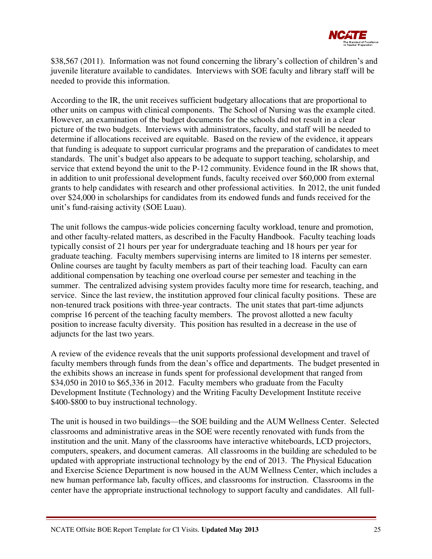

\$38,567 (2011). Information was not found concerning the library's collection of children's and juvenile literature available to candidates. Interviews with SOE faculty and library staff will be needed to provide this information.

According to the IR, the unit receives sufficient budgetary allocations that are proportional to other units on campus with clinical components. The School of Nursing was the example cited. However, an examination of the budget documents for the schools did not result in a clear picture of the two budgets. Interviews with administrators, faculty, and staff will be needed to determine if allocations received are equitable. Based on the review of the evidence, it appears that funding is adequate to support curricular programs and the preparation of candidates to meet standards. The unit's budget also appears to be adequate to support teaching, scholarship, and service that extend beyond the unit to the P-12 community. Evidence found in the IR shows that, in addition to unit professional development funds, faculty received over \$60,000 from external grants to help candidates with research and other professional activities. In 2012, the unit funded over \$24,000 in scholarships for candidates from its endowed funds and funds received for the unit's fund-raising activity (SOE Luau).

The unit follows the campus-wide policies concerning faculty workload, tenure and promotion, and other faculty-related matters, as described in the Faculty Handbook. Faculty teaching loads typically consist of 21 hours per year for undergraduate teaching and 18 hours per year for graduate teaching. Faculty members supervising interns are limited to 18 interns per semester. Online courses are taught by faculty members as part of their teaching load. Faculty can earn additional compensation by teaching one overload course per semester and teaching in the summer. The centralized advising system provides faculty more time for research, teaching, and service. Since the last review, the institution approved four clinical faculty positions. These are non-tenured track positions with three-year contracts. The unit states that part-time adjuncts comprise 16 percent of the teaching faculty members. The provost allotted a new faculty position to increase faculty diversity. This position has resulted in a decrease in the use of adjuncts for the last two years.

A review of the evidence reveals that the unit supports professional development and travel of faculty members through funds from the dean's office and departments. The budget presented in the exhibits shows an increase in funds spent for professional development that ranged from \$34,050 in 2010 to \$65,336 in 2012. Faculty members who graduate from the Faculty Development Institute (Technology) and the Writing Faculty Development Institute receive \$400-\$800 to buy instructional technology.

The unit is housed in two buildings—the SOE building and the AUM Wellness Center. Selected classrooms and administrative areas in the SOE were recently renovated with funds from the institution and the unit. Many of the classrooms have interactive whiteboards, LCD projectors, computers, speakers, and document cameras. All classrooms in the building are scheduled to be updated with appropriate instructional technology by the end of 2013. The Physical Education and Exercise Science Department is now housed in the AUM Wellness Center, which includes a new human performance lab, faculty offices, and classrooms for instruction. Classrooms in the center have the appropriate instructional technology to support faculty and candidates. All full-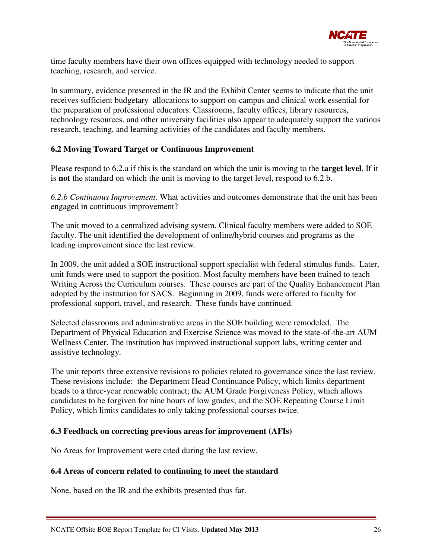

time faculty members have their own offices equipped with technology needed to support teaching, research, and service.

In summary, evidence presented in the IR and the Exhibit Center seems to indicate that the unit receives sufficient budgetary allocations to support on-campus and clinical work essential for the preparation of professional educators. Classrooms, faculty offices, library resources, technology resources, and other university facilities also appear to adequately support the various research, teaching, and learning activities of the candidates and faculty members.

#### **6.2 Moving Toward Target or Continuous Improvement**

Please respond to 6.2.a if this is the standard on which the unit is moving to the **target level**. If it is **not** the standard on which the unit is moving to the target level, respond to 6.2.b.

*6.2.b Continuous Improvement.* What activities and outcomes demonstrate that the unit has been engaged in continuous improvement?

The unit moved to a centralized advising system. Clinical faculty members were added to SOE faculty. The unit identified the development of online/hybrid courses and programs as the leading improvement since the last review.

In 2009, the unit added a SOE instructional support specialist with federal stimulus funds. Later, unit funds were used to support the position. Most faculty members have been trained to teach Writing Across the Curriculum courses. These courses are part of the Quality Enhancement Plan adopted by the institution for SACS. Beginning in 2009, funds were offered to faculty for professional support, travel, and research. These funds have continued.

Selected classrooms and administrative areas in the SOE building were remodeled. The Department of Physical Education and Exercise Science was moved to the state-of-the-art AUM Wellness Center. The institution has improved instructional support labs, writing center and assistive technology.

The unit reports three extensive revisions to policies related to governance since the last review. These revisions include: the Department Head Continuance Policy, which limits department heads to a three-year renewable contract; the AUM Grade Forgiveness Policy, which allows candidates to be forgiven for nine hours of low grades; and the SOE Repeating Course Limit Policy, which limits candidates to only taking professional courses twice.

#### **6.3 Feedback on correcting previous areas for improvement (AFIs)**

No Areas for Improvement were cited during the last review.

#### **6.4 Areas of concern related to continuing to meet the standard**

None, based on the IR and the exhibits presented thus far.